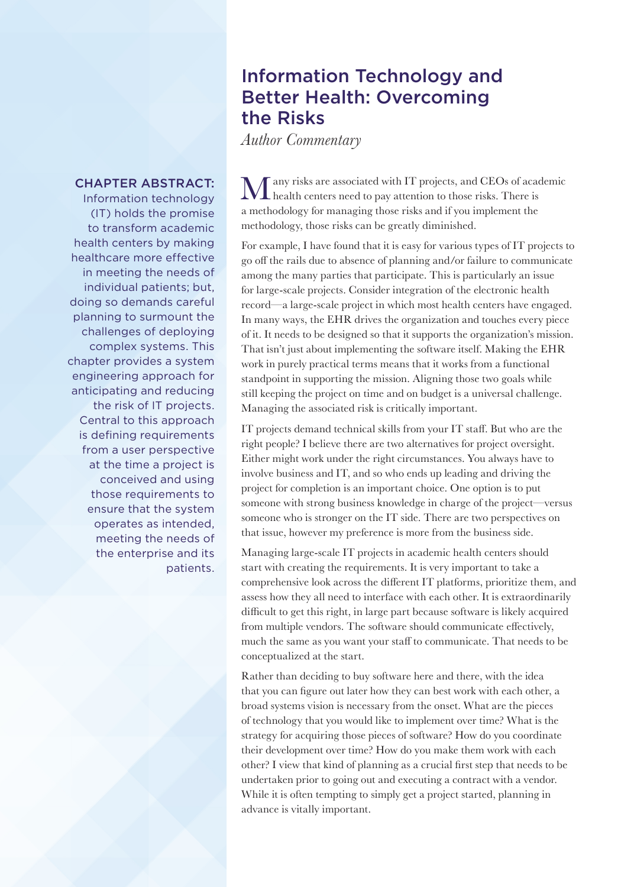## Information Technology and Better Health: Overcoming the Risks

*Author Commentary*

## CHAPTER ABSTRACT:

Information technology (IT) holds the promise to transform academic health centers by making healthcare more effective in meeting the needs of individual patients; but, doing so demands careful planning to surmount the challenges of deploying complex systems. This chapter provides a system engineering approach for anticipating and reducing the risk of IT projects. Central to this approach is defining requirements from a user perspective at the time a project is conceived and using those requirements to ensure that the system operates as intended, meeting the needs of the enterprise and its patients.

Many risks are associated with IT projects, and CEOs of academic health centers need to pay attention to those risks. There is a methodology for managing those risks and if you implement the methodology, those risks can be greatly diminished.

For example, I have found that it is easy for various types of IT projects to go off the rails due to absence of planning and/or failure to communicate among the many parties that participate. This is particularly an issue for large-scale projects. Consider integration of the electronic health record—a large-scale project in which most health centers have engaged. In many ways, the EHR drives the organization and touches every piece of it. It needs to be designed so that it supports the organization's mission. That isn't just about implementing the software itself. Making the EHR work in purely practical terms means that it works from a functional standpoint in supporting the mission. Aligning those two goals while still keeping the project on time and on budget is a universal challenge. Managing the associated risk is critically important.

IT projects demand technical skills from your IT staff. But who are the right people? I believe there are two alternatives for project oversight. Either might work under the right circumstances. You always have to involve business and IT, and so who ends up leading and driving the project for completion is an important choice. One option is to put someone with strong business knowledge in charge of the project—versus someone who is stronger on the IT side. There are two perspectives on that issue, however my preference is more from the business side.

Managing large-scale IT projects in academic health centers should start with creating the requirements. It is very important to take a comprehensive look across the different IT platforms, prioritize them, and assess how they all need to interface with each other. It is extraordinarily difficult to get this right, in large part because software is likely acquired from multiple vendors. The software should communicate effectively, much the same as you want your staff to communicate. That needs to be conceptualized at the start.

Rather than deciding to buy software here and there, with the idea that you can figure out later how they can best work with each other, a broad systems vision is necessary from the onset. What are the pieces of technology that you would like to implement over time? What is the strategy for acquiring those pieces of software? How do you coordinate their development over time? How do you make them work with each other? I view that kind of planning as a crucial first step that needs to be undertaken prior to going out and executing a contract with a vendor. While it is often tempting to simply get a project started, planning in advance is vitally important.